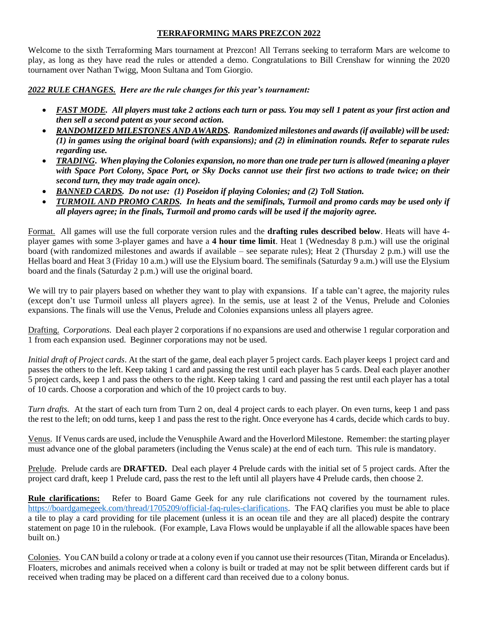#### **TERRAFORMING MARS PREZCON 2022**

Welcome to the sixth Terraforming Mars tournament at Prezcon! All Terrans seeking to terraform Mars are welcome to play, as long as they have read the rules or attended a demo. Congratulations to Bill Crenshaw for winning the 2020 tournament over Nathan Twigg, Moon Sultana and Tom Giorgio.

*2022 RULE CHANGES. Here are the rule changes for this year's tournament:*

- *FAST MODE. All players must take 2 actions each turn or pass. You may sell 1 patent as your first action and then sell a second patent as your second action.*
- *RANDOMIZED MILESTONES AND AWARDS. Randomized milestones and awards (if available) will be used: (1) in games using the original board (with expansions); and (2) in elimination rounds. Refer to separate rules regarding use.*
- *TRADING***.** *When playing the Colonies expansion, no more than one trade per turn is allowed (meaning a player with Space Port Colony, Space Port, or Sky Docks cannot use their first two actions to trade twice; on their second turn, they may trade again once).*
- *BANNED CARDS. Do not use: (1) Poseidon if playing Colonies; and (2) Toll Station.*
- *TURMOIL AND PROMO CARDS. In heats and the semifinals, Turmoil and promo cards may be used only if all players agree; in the finals, Turmoil and promo cards will be used if the majority agree.*

Format. All games will use the full corporate version rules and the **drafting rules described below**. Heats will have 4 player games with some 3-player games and have a **4 hour time limit**. Heat 1 (Wednesday 8 p.m.) will use the original board (with randomized milestones and awards if available – see separate rules); Heat 2 (Thursday 2 p.m.) will use the Hellas board and Heat 3 (Friday 10 a.m.) will use the Elysium board. The semifinals (Saturday 9 a.m.) will use the Elysium board and the finals (Saturday 2 p.m.) will use the original board.

We will try to pair players based on whether they want to play with expansions. If a table can't agree, the majority rules (except don't use Turmoil unless all players agree). In the semis, use at least 2 of the Venus, Prelude and Colonies expansions. The finals will use the Venus, Prelude and Colonies expansions unless all players agree.

Drafting. *Corporations.* Deal each player 2 corporations if no expansions are used and otherwise 1 regular corporation and 1 from each expansion used. Beginner corporations may not be used.

*Initial draft of Project cards*. At the start of the game, deal each player 5 project cards. Each player keeps 1 project card and passes the others to the left. Keep taking 1 card and passing the rest until each player has 5 cards. Deal each player another 5 project cards, keep 1 and pass the others to the right. Keep taking 1 card and passing the rest until each player has a total of 10 cards. Choose a corporation and which of the 10 project cards to buy.

*Turn drafts.* At the start of each turn from Turn 2 on, deal 4 project cards to each player. On even turns, keep 1 and pass the rest to the left; on odd turns, keep 1 and pass the rest to the right. Once everyone has 4 cards, decide which cards to buy.

Venus. If Venus cards are used, include the Venusphile Award and the Hoverlord Milestone. Remember: the starting player must advance one of the global parameters (including the Venus scale) at the end of each turn. This rule is mandatory.

Prelude. Prelude cards are **DRAFTED.** Deal each player 4 Prelude cards with the initial set of 5 project cards. After the project card draft, keep 1 Prelude card, pass the rest to the left until all players have 4 Prelude cards, then choose 2.

**Rule clarifications:** Refer to Board Game Geek for any rule clarifications not covered by the tournament rules. [https://boardgamegeek.com/thread/1705209/official-faq-rules-clarifications.](https://boardgamegeek.com/thread/1705209/official-faq-rules-clarifications) The FAQ clarifies you must be able to place a tile to play a card providing for tile placement (unless it is an ocean tile and they are all placed) despite the contrary statement on page 10 in the rulebook. (For example, Lava Flows would be unplayable if all the allowable spaces have been built on.)

Colonies. You CAN build a colony or trade at a colony even if you cannot use their resources (Titan, Miranda or Enceladus). Floaters, microbes and animals received when a colony is built or traded at may not be split between different cards but if received when trading may be placed on a different card than received due to a colony bonus.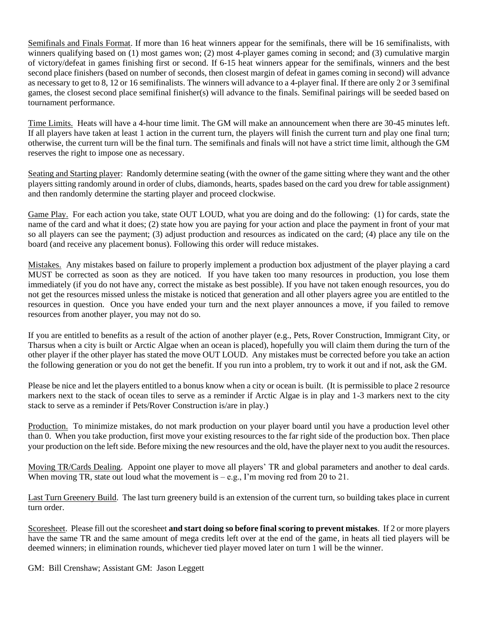Semifinals and Finals Format. If more than 16 heat winners appear for the semifinals, there will be 16 semifinalists, with winners qualifying based on (1) most games won; (2) most 4-player games coming in second; and (3) cumulative margin of victory/defeat in games finishing first or second. If 6-15 heat winners appear for the semifinals, winners and the best second place finishers (based on number of seconds, then closest margin of defeat in games coming in second) will advance as necessary to get to 8, 12 or 16 semifinalists. The winners will advance to a 4-player final. If there are only 2 or 3 semifinal games, the closest second place semifinal finisher(s) will advance to the finals. Semifinal pairings will be seeded based on tournament performance.

Time Limits. Heats will have a 4-hour time limit. The GM will make an announcement when there are 30-45 minutes left. If all players have taken at least 1 action in the current turn, the players will finish the current turn and play one final turn; otherwise, the current turn will be the final turn. The semifinals and finals will not have a strict time limit, although the GM reserves the right to impose one as necessary.

Seating and Starting player: Randomly determine seating (with the owner of the game sitting where they want and the other players sitting randomly around in order of clubs, diamonds, hearts, spades based on the card you drew for table assignment) and then randomly determine the starting player and proceed clockwise.

Game Play. For each action you take, state OUT LOUD, what you are doing and do the following: (1) for cards, state the name of the card and what it does; (2) state how you are paying for your action and place the payment in front of your mat so all players can see the payment; (3) adjust production and resources as indicated on the card; (4) place any tile on the board (and receive any placement bonus). Following this order will reduce mistakes.

Mistakes. Any mistakes based on failure to properly implement a production box adjustment of the player playing a card MUST be corrected as soon as they are noticed. If you have taken too many resources in production, you lose them immediately (if you do not have any, correct the mistake as best possible). If you have not taken enough resources, you do not get the resources missed unless the mistake is noticed that generation and all other players agree you are entitled to the resources in question. Once you have ended your turn and the next player announces a move, if you failed to remove resources from another player, you may not do so.

If you are entitled to benefits as a result of the action of another player (e.g., Pets, Rover Construction, Immigrant City, or Tharsus when a city is built or Arctic Algae when an ocean is placed), hopefully you will claim them during the turn of the other player if the other player has stated the move OUT LOUD. Any mistakes must be corrected before you take an action the following generation or you do not get the benefit. If you run into a problem, try to work it out and if not, ask the GM.

Please be nice and let the players entitled to a bonus know when a city or ocean is built. (It is permissible to place 2 resource markers next to the stack of ocean tiles to serve as a reminder if Arctic Algae is in play and 1-3 markers next to the city stack to serve as a reminder if Pets/Rover Construction is/are in play.)

Production. To minimize mistakes, do not mark production on your player board until you have a production level other than 0. When you take production, first move your existing resources to the far right side of the production box. Then place your production on the left side. Before mixing the new resources and the old, have the player next to you audit the resources.

Moving TR/Cards Dealing. Appoint one player to move all players' TR and global parameters and another to deal cards. When moving TR, state out loud what the movement is  $-e.g., I'm$  moving red from 20 to 21.

Last Turn Greenery Build. The last turn greenery build is an extension of the current turn, so building takes place in current turn order.

Scoresheet. Please fill out the scoresheet **and start doing so before final scoring to prevent mistakes**. If 2 or more players have the same TR and the same amount of mega credits left over at the end of the game, in heats all tied players will be deemed winners; in elimination rounds, whichever tied player moved later on turn 1 will be the winner.

GM: Bill Crenshaw; Assistant GM: Jason Leggett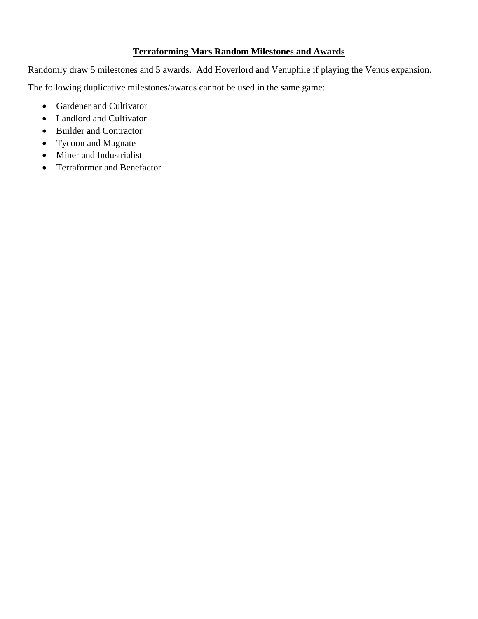### **Terraforming Mars Random Milestones and Awards**

Randomly draw 5 milestones and 5 awards. Add Hoverlord and Venuphile if playing the Venus expansion. The following duplicative milestones/awards cannot be used in the same game:

- Gardener and Cultivator
- Landlord and Cultivator
- Builder and Contractor
- Tycoon and Magnate
- Miner and Industrialist
- Terraformer and Benefactor